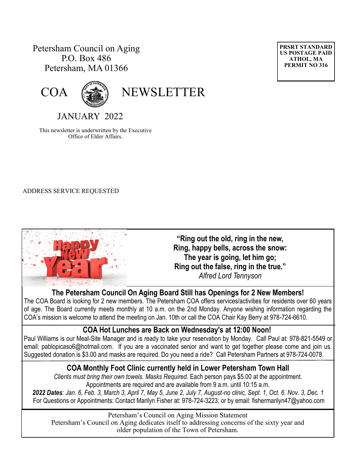# Petersham Council on Aging P.O. Box 486 Petersham, MA 01366





COA (

JANUARY 2022

This newsletter is underwritten by the Executive Office of Elder Affairs.

#### ADDRESS SERVICE REQUESTED



**"Ring out the old, ring in the new, Ring, happy bells, across the [snow:](https://parade.com/1136246/kelseypelzer/snow-quotes/) The year is going, let him go; Ring out the false, ring in the true."**  *Alfred Lord Tennyson* 

## **The Petersham Council On Aging Board Still has Openings for 2 New Members!**

The COA Board is looking for 2 new members. The Petersham COA offers services/activities for residents over 60 years of age. The Board currently meets monthly at 10 a.m. on the 2nd Monday. Anyone wishing information regarding the COA's mission is welcome to attend the meeting on Jan. 10th or call the COA Chair Kay Berry at 978-724-6610.

## **COA Hot Lunches are Back on Wednesday's at 12:00 Noon!**

Paul Williams is our Meal-Site Manager and is ready to take your reservation by Monday. Call Paul at: 978-821-5549 or email: [pablopicaso6@hotmail.com.](mailto:pablopicaso6@hotmail.com) If you are a vaccinated senior and want to get together please come and join us. Suggested donation is \$3.00 and masks are required. Do you need a ride? Call Petersham Partners at 978-724-0078.

#### **COA Monthly Foot Clinic currently held in Lower Petersham Town Hall**

*Clients must bring their own towels. Masks Required.* Each person pays \$5.00 at the appointment. Appointments are required and are available from 9 a.m. until 10:15 a.m.

*2022 Dates: Jan. 6, Feb. 3, March 3, April 7, May 5, June 2, July 7, August-no clinic, Sept. 1, Oct. 6. Nov. 3, Dec. 1* For Questions or Appointments: Contact Marilyn Fisher at: 978-724-3223; or by email: fishermarilyn47@yahoo.com

Petersham's Council on Aging Mission Statement Petersham's Council on Aging dedicates itself to addressing concerns of the sixty year and older population of the Town of Petersham.

**PRSRT STANDARD US POSTAGE PAID ATHOL, MA PERMIT NO 316**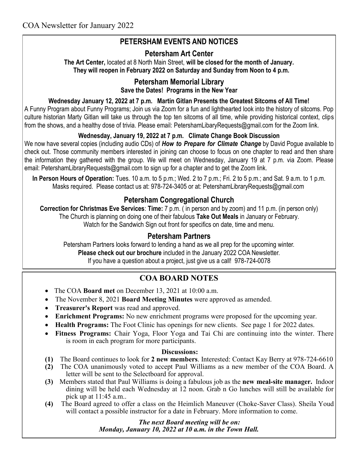# **PETERSHAM EVENTS AND NOTICES**

### **Petersham Art Center**

**The Art Center,** located at 8 North Main Street, **will be closed for the month of January. They will reopen in February 2022 on Saturday and Sunday from Noon to 4 p.m.** 

### **Petersham Memorial Library**

**Save the Dates! Programs in the New Year**

#### **Wednesday January 12, 2022 at 7 p.m. Martin Gitlan Presents the Greatest Sitcoms of All Time!**

A Funny Program about Funny Programs; Join us via Zoom for a fun and lighthearted look into the history of sitcoms. Pop culture historian Marty Gitlan will take us through the top ten sitcoms of all time, while providing historical context, clips from the shows, and a healthy dose of trivia. Please email: [PetershamLibaryRequests@gmail.com](mailto:PetershamLibaryRequests@gmail.com) for the Zoom link.

#### **Wednesday, January 19, 2022 at 7 p.m. Climate Change Book Discussion**

We now have several copies (including audio CDs) of *How to Prepare for Climate Change* by David Pogue available to check out. Those community members interested in joining can choose to focus on one chapter to read and then share the information they gathered with the group. We will meet on Wednesday, January 19 at 7 p.m. via Zoom. Please email: [PetershamLibraryRequests@gmail.com](mailto:PetershamLibraryRequests@gmail.com) to sign up for a chapter and to get the Zoom link.

**In Person Hours of Operation:** Tues. 10 a.m. to 5 p.m.; Wed. 2 to 7 p.m.; Fri. 2 to 5 p.m.; and Sat. 9 a.m. to 1 p.m. Masks required. Please contact us at: 978-724-3405 or at: PetershamLibraryRequests@gmail.com

### **Petersham Congregational Church**

**Correction for Christmas Eve Services**: **Time:** 7 p.m. ( in person and by zoom) and 11 p.m. (in person only) The Church is planning on doing one of their fabulous **Take Out Meals** in January or February. Watch for the Sandwich Sign out front for specifics on date, time and menu.

#### **Petersham Partners**

Petersham Partners looks forward to lending a hand as we all prep for the upcoming winter. **Please check out our brochure** included in the January 2022 COA Newsletter. If you have a question about a project, just give us a call! 978-724-0078

# **COA BOARD NOTES**

- The COA **Board met** on December 13, 2021 at 10:00 a.m.
- The November 8, 2021 **Board Meeting Minutes** were approved as amended.
- **Treasurer's Report** was read and approved.
- **Enrichment Programs:** No new enrichment programs were proposed for the upcoming year.
- **Health Programs:** The Foot Clinic has openings for new clients. See page 1 for 2022 dates.
- **Fitness Programs:** Chair Yoga, Floor Yoga and Tai Chi are continuing into the winter. There is room in each program for more participants.

#### **Discussions:**

- **(1)** The Board continues to look for **2 new members**. Interested: Contact Kay Berry at 978-724-6610
- **(2)** The COA unanimously voted to accept Paul Williams as a new member of the COA Board. A letter will be sent to the Selectboard for approval.
- **(3)** Members stated that Paul Williams is doing a fabulous job as the **new meal-site manager.** Indoor dining will be held each Wednesday at 12 noon. Grab n Go lunches will still be available for pick up at 11:45 a.m..
- **(4)** The Board agreed to offer a class on the Heimlich Maneuver (Choke-Saver Class). Sheila Youd will contact a possible instructor for a date in February. More information to come.

 *The next Board meeting will be on: Monday, January 10, 2022 at 10 a.m. in the Town Hall.*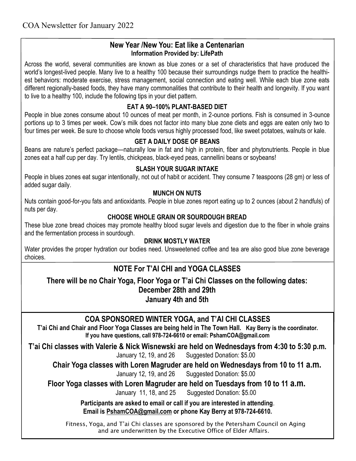#### **New Year /New You: Eat like a Centenarian Information Provided by: LifePath**

Across the world, several communities are known as blue zones or a set of characteristics that have produced the world's longest-lived people. Many live to a healthy 100 because their surroundings nudge them to practice the healthiest behaviors: moderate exercise, stress management, social connection and eating well. While each blue zone eats different regionally-based foods, they have many commonalities that contribute to their health and longevity. If you want to live to a healthy 100, include the following tips in your diet pattern.

### **EAT A 90–100% PLANT-BASED DIET**

People in blue zones consume about 10 ounces of meat per month, in 2-ounce portions. Fish is consumed in 3-ounce portions up to 3 times per week. Cow's milk does not factor into many blue zone diets and eggs are eaten only two to four times per week. Be sure to choose whole foods versus highly processed food, like sweet potatoes, walnuts or kale.

#### **GET A DAILY DOSE OF BEANS**

Beans are nature's perfect package—naturally low in fat and high in protein, fiber and phytonutrients. People in blue zones eat a half cup per day. Try lentils, chickpeas, black-eyed peas, cannellini beans or soybeans!

#### **SLASH YOUR SUGAR INTAKE**

People in blues zones eat sugar intentionally, not out of habit or accident. They consume 7 teaspoons (28 gm) or less of added sugar daily.

#### **MUNCH ON NUTS**

Nuts contain good-for-you fats and antioxidants. People in blue zones report eating up to 2 ounces (about 2 handfuls) of nuts per day.

#### **CHOOSE WHOLE GRAIN OR SOURDOUGH BREAD**

These blue zone bread choices may promote healthy blood sugar levels and digestion due to the fiber in whole grains and the fermentation process in sourdough.

#### **DRINK MOSTLY WATER**

Water provides the proper hydration our bodies need. Unsweetened coffee and tea are also good blue zone beverage choices.

# **NOTE For T'AI CHI and YOGA CLASSES**

**There will be no Chair Yoga, Floor Yoga or T'ai Chi Classes on the following dates: December 28th and 29th January 4th and 5th**

## **COA SPONSORED WINTER YOGA, and T'AI CHI CLASSES**

**T'ai Chi and Chair and Floor Yoga Classes are being held in The Town Hall. Kay Berry is the coordinator. If you have questions, call 978-724-6610 or email: PshamCOA@gmail.com**

**T'ai Chi classes with Valerie & Nick Wisnewski are held on Wednesdays from 4:30 to 5:30 p.m.**  January 12, 19, and 26 Suggested Donation: \$5.00

**Chair Yoga classes with Loren Magruder are held on Wednesdays from 10 to 11 a.m.**

January 12, 19, and 26 Suggested Donation: \$5.00

**Floor Yoga classes with Loren Magruder are held on Tuesdays from 10 to 11 a.m.**

January 11, 18, and 25 Suggested Donation: \$5.00

**Participants are asked to email or call if you are interested in attending**. **Email is [PshamCOA@gmail.com](mailto:PshamCOA@gmail.com) or phone Kay Berry at 978-724-6610.** 

Fitness, Yoga, and T'ai Chi classes are sponsored by the Petersham Council on Aging and are underwritten by the Executive Office of Elder Affairs.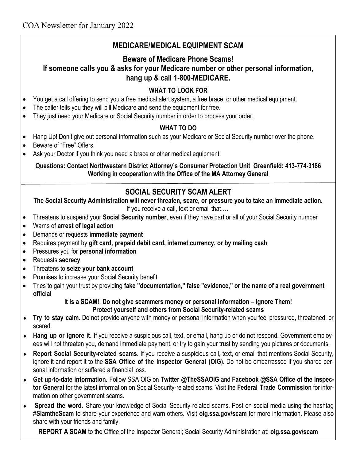# **MEDICARE/MEDICAL EQUIPMENT SCAM**

#### **Beware of Medicare Phone Scams! If someone calls you & asks for your Medicare number or other personal information, hang up & call 1-800-MEDICARE.**

# **WHAT TO LOOK FOR**

- You get a call offering to send you a free medical alert system, a free brace, or other medical equipment.
- The caller tells you they will bill Medicare and send the equipment for free.
- They just need your Medicare or Social Security number in order to process your order.

# **WHAT TO DO**

- Hang Up! Don't give out personal information such as your Medicare or Social Security number over the phone.
- Beware of "Free" Offers.
- Ask your Doctor if you think you need a brace or other medical equipment.

#### **Questions: Contact Northwestern District Attorney's Consumer Protection Unit Greenfield: 413-774-3186 Working in cooperation with the Office of the MA Attorney General**

# **SOCIAL SECURITY SCAM ALERT**

**The Social Security Administration will never threaten, scare, or pressure you to take an immediate action.**

If you receive a call, text or email that….

- Threatens to suspend your **Social Security number**, even if they have part or all of your Social Security number
- Warns of **arrest of legal action**
- Demands or requests **immediate payment**
- Requires payment by **gift card, prepaid debit card, internet currency, or by mailing cash**
- Pressures you for **personal information**
- Requests **secrecy**
- Threatens to **seize your bank account**
- Promises to increase your Social Security benefit
- Tries to gain your trust by providing **fake "documentation," false "evidence," or the name of a real government official**

#### **It is a SCAM! Do not give scammers money or personal information – Ignore Them! Protect yourself and others from Social Security-related scams**

- **Try to stay calm.** Do not provide anyone with money or personal information when you feel pressured, threatened, or scared.
- **Hang up or ignore it.** If you receive a suspicious call, text, or email, hang up or do not respond. Government employees will not threaten you, demand immediate payment, or try to gain your trust by sending you pictures or documents.
- **Report Social Security-related scams.** If you receive a suspicious call, text, or email that mentions Social Security, ignore it and report it to the **[SSA Office of the Inspector General](https://links.ssa.gov/l/eyJhbGciOiJIUzI1NiJ9.eyJidWxsZXRpbl9saW5rX2lkIjoxMDEsInVyaSI6ImJwMjpjbGljayIsImJ1bGxldGluX2lkIjoiMjAyMTExMjkuNDk0NTg2NTEiLCJ1cmwiOiJodHRwczovL29pZy5zc2EuZ292Lz91dG1fY2FtcGFpZ249b2lnLXNjYW0tMjImdXRtX2NvbnRlbnQ9b2lnLWhvbXBhZ2UtMDAxJnV0bV) (OIG)**. Do not be embarrassed if you shared personal information or suffered a financial loss.
- **Get up-to-date information.** Follow SSA OIG on **[Twitter @TheSSAOIG](https://links.ssa.gov/l/eyJhbGciOiJIUzI1NiJ9.eyJidWxsZXRpbl9saW5rX2lkIjoxMDIsInVyaSI6ImJwMjpjbGljayIsImJ1bGxldGluX2lkIjoiMjAyMTExMjkuNDk0NTg2NTEiLCJ1cmwiOiJodHRwczovL3R3aXR0ZXIuY29tL1RoZVNTQU9JRy8_dXRtX2NhbXBhaWduPW9pZy1zY2FtLTIyJnV0bV9jb250ZW50PXR3aXR0ZXItYm)** and **[Facebook @SSA Office of the Inspec](https://links.ssa.gov/l/eyJhbGciOiJIUzI1NiJ9.eyJidWxsZXRpbl9saW5rX2lkIjoxMDMsInVyaSI6ImJwMjpjbGljayIsImJ1bGxldGluX2lkIjoiMjAyMTExMjkuNDk0NTg2NTEiLCJ1cmwiOiJodHRwczovL3d3dy5mYWNlYm9vay5jb20vb2lnc3NhLz91dG1fY2FtcGFpZ249b2lnLXNjYW0tMjImdXRtX2NvbnRlbnQ9ZmFjZWJvb2)[tor General](https://links.ssa.gov/l/eyJhbGciOiJIUzI1NiJ9.eyJidWxsZXRpbl9saW5rX2lkIjoxMDMsInVyaSI6ImJwMjpjbGljayIsImJ1bGxldGluX2lkIjoiMjAyMTExMjkuNDk0NTg2NTEiLCJ1cmwiOiJodHRwczovL3d3dy5mYWNlYm9vay5jb20vb2lnc3NhLz91dG1fY2FtcGFpZ249b2lnLXNjYW0tMjImdXRtX2NvbnRlbnQ9ZmFjZWJvb2)** for the latest information on Social Security-related scams. Visit the **[Federal Trade Commission](https://links.ssa.gov/l/eyJhbGciOiJIUzI1NiJ9.eyJidWxsZXRpbl9saW5rX2lkIjoxMDQsInVyaSI6ImJwMjpjbGljayIsImJ1bGxldGluX2lkIjoiMjAyMTExMjkuNDk0NTg2NTEiLCJ1cmwiOiJodHRwczovL3d3dy5jb25zdW1lci5mdGMuZ292L2ZlYXR1cmVzL3NjYW0tYWxlcnRzLz91dG1fY2FtcGFpZ249b2lnLXNjYW0tMjImdX)** for information on other government scams.
- **Spread the word.** Share your knowledge of Social Security-related scams. Post on social media using the hashtag #**SlamtheScam** to share your experience and warn others. Visit **[oig.ssa.gov/scam](https://links.ssa.gov/l/eyJhbGciOiJIUzI1NiJ9.eyJidWxsZXRpbl9saW5rX2lkIjoxMDUsInVyaSI6ImJwMjpjbGljayIsImJ1bGxldGluX2lkIjoiMjAyMTExMjkuNDk0NTg2NTEiLCJ1cmwiOiJodHRwczovL29pZy5zc2EuZ292L3NjYW0vP3V0bV9jYW1wYWlnbj1vaWctc2NhbS0yMiZ1dG1fY29udGVudD1vaWctc2NhbS1wYWdlJn)** for more information. Please also share with your friends and family.

**REPORT A SCAM** to the Office of the Inspector General; Social Security Administration at: **oig.ssa.gov/scam**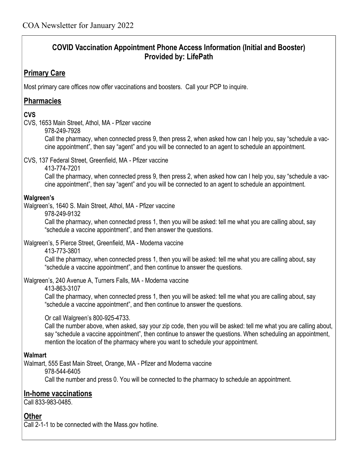# **COVID Vaccination Appointment Phone Access Information (Initial and Booster) Provided by: LifePath**

# **Primary Care**

Most primary care offices now offer vaccinations and boosters. Call your PCP to inquire.

## **Pharmacies**

### **CVS**

- CVS, 1653 Main Street, Athol, MA Pfizer vaccine
	- 978-249-7928

Call the pharmacy, when connected press 9, then press 2, when asked how can I help you, say "schedule a vaccine appointment", then say "agent" and you will be connected to an agent to schedule an appointment.

- CVS, 137 Federal Street, Greenfield, MA Pfizer vaccine
	- 413-774-7201

Call the pharmacy, when connected press 9, then press 2, when asked how can I help you, say "schedule a vaccine appointment", then say "agent" and you will be connected to an agent to schedule an appointment.

#### **Walgreen's**

- Walgreen's, 1640 S. Main Street, Athol, MA Pfizer vaccine
	- 978-249-9132

Call the pharmacy, when connected press 1, then you will be asked: tell me what you are calling about, say "schedule a vaccine appointment", and then answer the questions.

Walgreen's, 5 Pierce Street, Greenfield, MA - Moderna vaccine

413-773-3801

Call the pharmacy, when connected press 1, then you will be asked: tell me what you are calling about, say "schedule a vaccine appointment", and then continue to answer the questions.

Walgreen's, 240 Avenue A, Turners Falls, MA - Moderna vaccine

#### 413-863-3107

Call the pharmacy, when connected press 1, then you will be asked: tell me what you are calling about, say "schedule a vaccine appointment", and then continue to answer the questions.

Or call Walgreen's 800-925-4733.

Call the number above, when asked, say your zip code, then you will be asked: tell me what you are calling about, say "schedule a vaccine appointment", then continue to answer the questions. When scheduling an appointment, mention the location of the pharmacy where you want to schedule your appointment.

## **Walmart**

Walmart, 555 East Main Street, Orange, MA - Pfizer and Moderna vaccine

978-544-6405

Call the number and press 0. You will be connected to the pharmacy to schedule an appointment.

## **In-home vaccinations**

Call 833-983-0485.

## **Other**

Call 2-1-1 to be connected with the Mass.gov hotline.